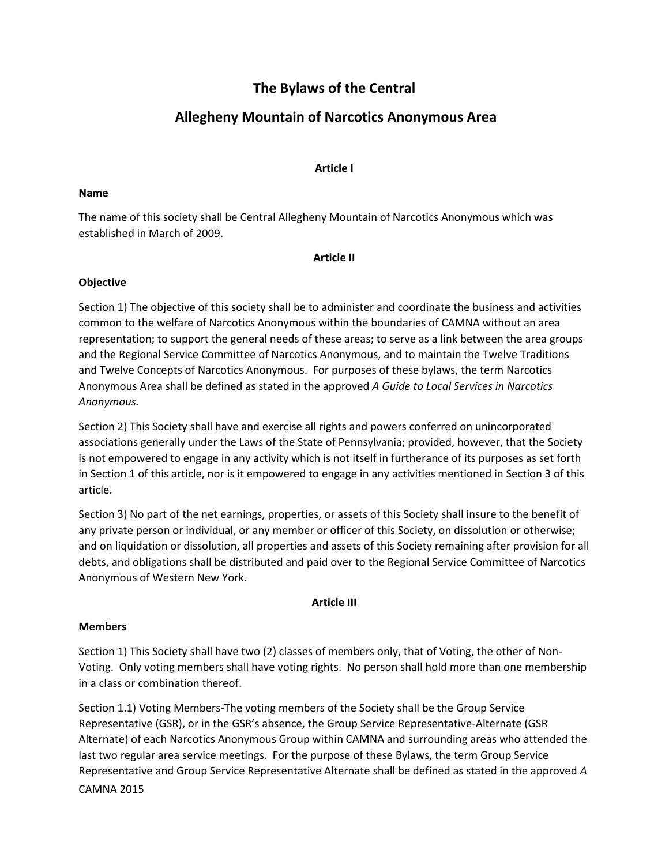# **The Bylaws of the Central**

# **Allegheny Mountain of Narcotics Anonymous Area**

# **Article I**

## **Name**

The name of this society shall be Central Allegheny Mountain of Narcotics Anonymous which was established in March of 2009.

# **Article II**

# **Objective**

Section 1) The objective of this society shall be to administer and coordinate the business and activities common to the welfare of Narcotics Anonymous within the boundaries of CAMNA without an area representation; to support the general needs of these areas; to serve as a link between the area groups and the Regional Service Committee of Narcotics Anonymous, and to maintain the Twelve Traditions and Twelve Concepts of Narcotics Anonymous. For purposes of these bylaws, the term Narcotics Anonymous Area shall be defined as stated in the approved *A Guide to Local Services in Narcotics Anonymous.*

Section 2) This Society shall have and exercise all rights and powers conferred on unincorporated associations generally under the Laws of the State of Pennsylvania; provided, however, that the Society is not empowered to engage in any activity which is not itself in furtherance of its purposes as set forth in Section 1 of this article, nor is it empowered to engage in any activities mentioned in Section 3 of this article.

Section 3) No part of the net earnings, properties, or assets of this Society shall insure to the benefit of any private person or individual, or any member or officer of this Society, on dissolution or otherwise; and on liquidation or dissolution, all properties and assets of this Society remaining after provision for all debts, and obligations shall be distributed and paid over to the Regional Service Committee of Narcotics Anonymous of Western New York.

# **Article III**

# **Members**

Section 1) This Society shall have two (2) classes of members only, that of Voting, the other of Non-Voting. Only voting members shall have voting rights. No person shall hold more than one membership in a class or combination thereof.

CAMNA 2015 Section 1.1) Voting Members-The voting members of the Society shall be the Group Service Representative (GSR), or in the GSR's absence, the Group Service Representative-Alternate (GSR Alternate) of each Narcotics Anonymous Group within CAMNA and surrounding areas who attended the last two regular area service meetings. For the purpose of these Bylaws, the term Group Service Representative and Group Service Representative Alternate shall be defined as stated in the approved *A*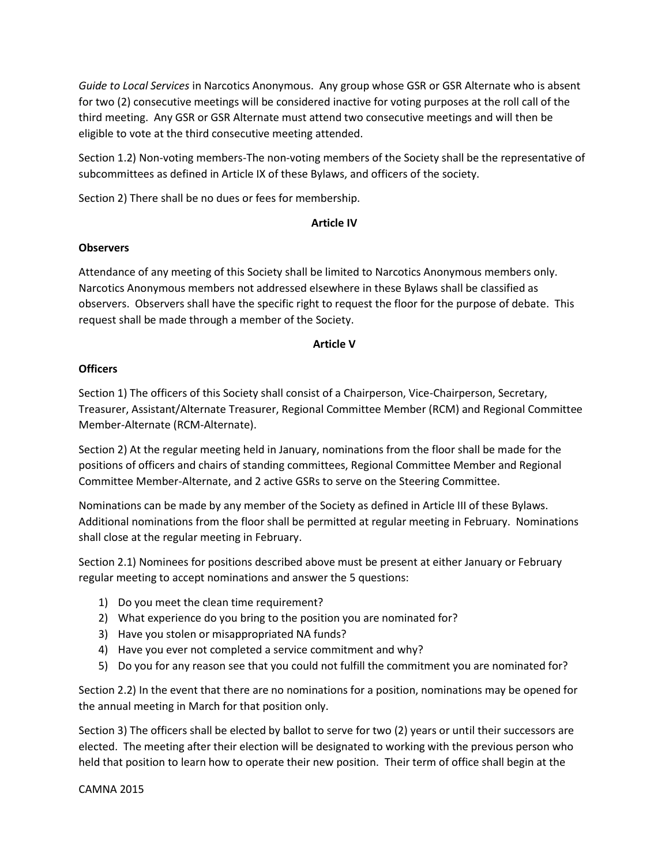*Guide to Local Services* in Narcotics Anonymous. Any group whose GSR or GSR Alternate who is absent for two (2) consecutive meetings will be considered inactive for voting purposes at the roll call of the third meeting. Any GSR or GSR Alternate must attend two consecutive meetings and will then be eligible to vote at the third consecutive meeting attended.

Section 1.2) Non-voting members-The non-voting members of the Society shall be the representative of subcommittees as defined in Article IX of these Bylaws, and officers of the society.

Section 2) There shall be no dues or fees for membership.

# **Article IV**

# **Observers**

Attendance of any meeting of this Society shall be limited to Narcotics Anonymous members only. Narcotics Anonymous members not addressed elsewhere in these Bylaws shall be classified as observers. Observers shall have the specific right to request the floor for the purpose of debate. This request shall be made through a member of the Society.

#### **Article V**

# **Officers**

Section 1) The officers of this Society shall consist of a Chairperson, Vice-Chairperson, Secretary, Treasurer, Assistant/Alternate Treasurer, Regional Committee Member (RCM) and Regional Committee Member-Alternate (RCM-Alternate).

Section 2) At the regular meeting held in January, nominations from the floor shall be made for the positions of officers and chairs of standing committees, Regional Committee Member and Regional Committee Member-Alternate, and 2 active GSRs to serve on the Steering Committee.

Nominations can be made by any member of the Society as defined in Article III of these Bylaws. Additional nominations from the floor shall be permitted at regular meeting in February. Nominations shall close at the regular meeting in February.

Section 2.1) Nominees for positions described above must be present at either January or February regular meeting to accept nominations and answer the 5 questions:

- 1) Do you meet the clean time requirement?
- 2) What experience do you bring to the position you are nominated for?
- 3) Have you stolen or misappropriated NA funds?
- 4) Have you ever not completed a service commitment and why?
- 5) Do you for any reason see that you could not fulfill the commitment you are nominated for?

Section 2.2) In the event that there are no nominations for a position, nominations may be opened for the annual meeting in March for that position only.

Section 3) The officers shall be elected by ballot to serve for two (2) years or until their successors are elected. The meeting after their election will be designated to working with the previous person who held that position to learn how to operate their new position. Their term of office shall begin at the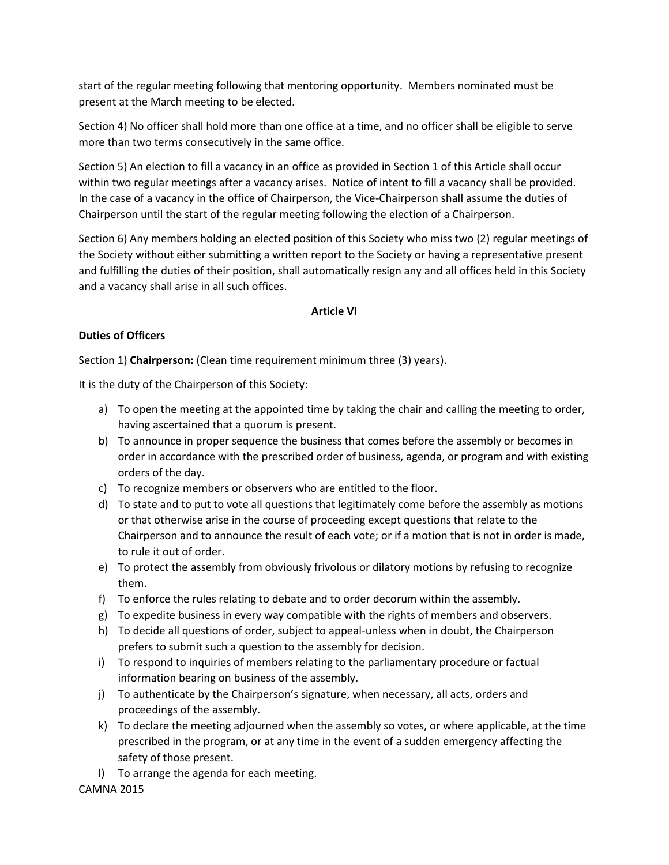start of the regular meeting following that mentoring opportunity. Members nominated must be present at the March meeting to be elected.

Section 4) No officer shall hold more than one office at a time, and no officer shall be eligible to serve more than two terms consecutively in the same office.

Section 5) An election to fill a vacancy in an office as provided in Section 1 of this Article shall occur within two regular meetings after a vacancy arises. Notice of intent to fill a vacancy shall be provided. In the case of a vacancy in the office of Chairperson, the Vice-Chairperson shall assume the duties of Chairperson until the start of the regular meeting following the election of a Chairperson.

Section 6) Any members holding an elected position of this Society who miss two (2) regular meetings of the Society without either submitting a written report to the Society or having a representative present and fulfilling the duties of their position, shall automatically resign any and all offices held in this Society and a vacancy shall arise in all such offices.

# **Article VI**

# **Duties of Officers**

Section 1) **Chairperson:** (Clean time requirement minimum three (3) years).

It is the duty of the Chairperson of this Society:

- a) To open the meeting at the appointed time by taking the chair and calling the meeting to order, having ascertained that a quorum is present.
- b) To announce in proper sequence the business that comes before the assembly or becomes in order in accordance with the prescribed order of business, agenda, or program and with existing orders of the day.
- c) To recognize members or observers who are entitled to the floor.
- d) To state and to put to vote all questions that legitimately come before the assembly as motions or that otherwise arise in the course of proceeding except questions that relate to the Chairperson and to announce the result of each vote; or if a motion that is not in order is made, to rule it out of order.
- e) To protect the assembly from obviously frivolous or dilatory motions by refusing to recognize them.
- f) To enforce the rules relating to debate and to order decorum within the assembly.
- g) To expedite business in every way compatible with the rights of members and observers.
- h) To decide all questions of order, subject to appeal-unless when in doubt, the Chairperson prefers to submit such a question to the assembly for decision.
- i) To respond to inquiries of members relating to the parliamentary procedure or factual information bearing on business of the assembly.
- j) To authenticate by the Chairperson's signature, when necessary, all acts, orders and proceedings of the assembly.
- k) To declare the meeting adjourned when the assembly so votes, or where applicable, at the time prescribed in the program, or at any time in the event of a sudden emergency affecting the safety of those present.
- l) To arrange the agenda for each meeting.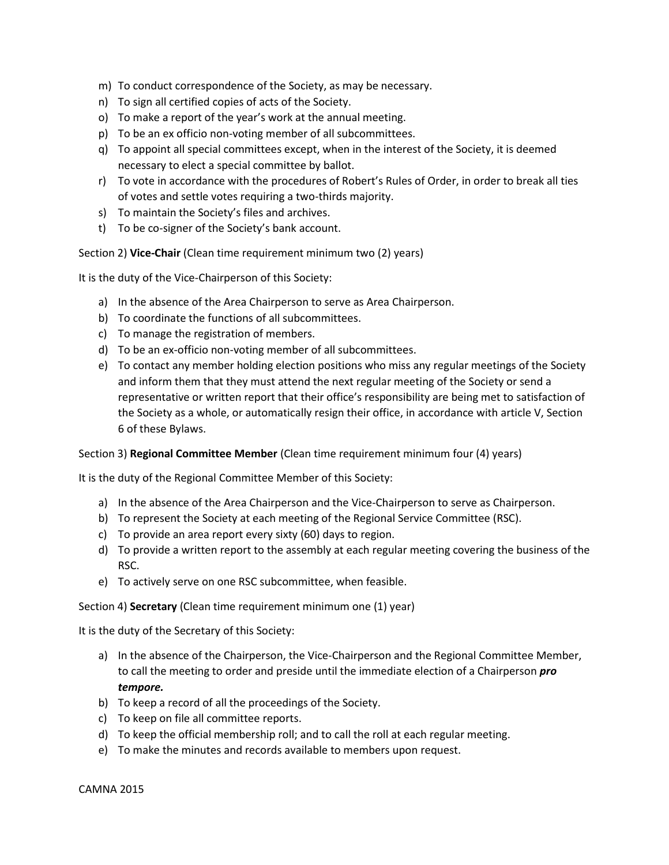- m) To conduct correspondence of the Society, as may be necessary.
- n) To sign all certified copies of acts of the Society.
- o) To make a report of the year's work at the annual meeting.
- p) To be an ex officio non-voting member of all subcommittees.
- q) To appoint all special committees except, when in the interest of the Society, it is deemed necessary to elect a special committee by ballot.
- r) To vote in accordance with the procedures of Robert's Rules of Order, in order to break all ties of votes and settle votes requiring a two-thirds majority.
- s) To maintain the Society's files and archives.
- t) To be co-signer of the Society's bank account.

Section 2) **Vice-Chair** (Clean time requirement minimum two (2) years)

It is the duty of the Vice-Chairperson of this Society:

- a) In the absence of the Area Chairperson to serve as Area Chairperson.
- b) To coordinate the functions of all subcommittees.
- c) To manage the registration of members.
- d) To be an ex-officio non-voting member of all subcommittees.
- e) To contact any member holding election positions who miss any regular meetings of the Society and inform them that they must attend the next regular meeting of the Society or send a representative or written report that their office's responsibility are being met to satisfaction of the Society as a whole, or automatically resign their office, in accordance with article V, Section 6 of these Bylaws.

#### Section 3) **Regional Committee Member** (Clean time requirement minimum four (4) years)

It is the duty of the Regional Committee Member of this Society:

- a) In the absence of the Area Chairperson and the Vice-Chairperson to serve as Chairperson.
- b) To represent the Society at each meeting of the Regional Service Committee (RSC).
- c) To provide an area report every sixty (60) days to region.
- d) To provide a written report to the assembly at each regular meeting covering the business of the RSC.
- e) To actively serve on one RSC subcommittee, when feasible.

Section 4) **Secretary** (Clean time requirement minimum one (1) year)

It is the duty of the Secretary of this Society:

- a) In the absence of the Chairperson, the Vice-Chairperson and the Regional Committee Member, to call the meeting to order and preside until the immediate election of a Chairperson *pro tempore.*
- b) To keep a record of all the proceedings of the Society.
- c) To keep on file all committee reports.
- d) To keep the official membership roll; and to call the roll at each regular meeting.
- e) To make the minutes and records available to members upon request.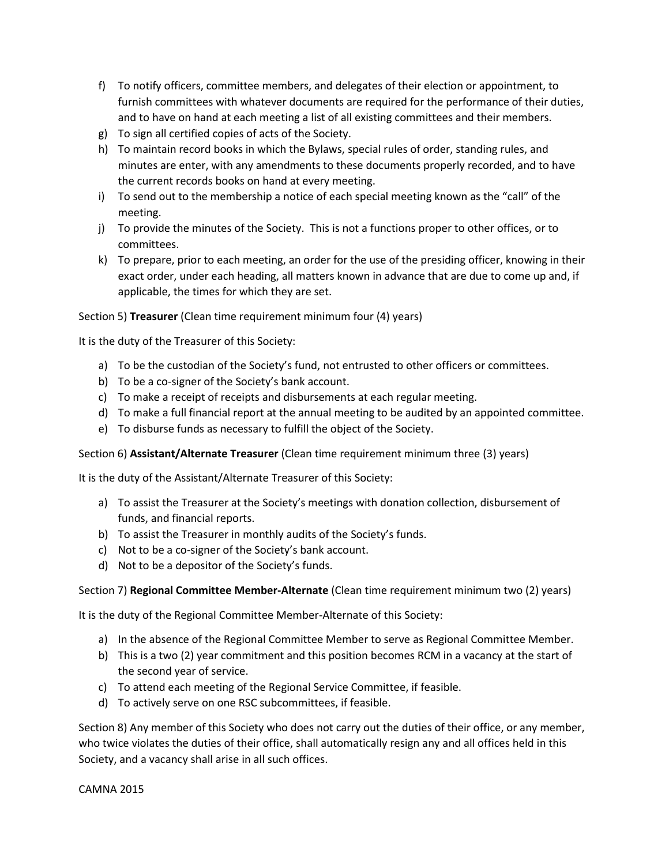- f) To notify officers, committee members, and delegates of their election or appointment, to furnish committees with whatever documents are required for the performance of their duties, and to have on hand at each meeting a list of all existing committees and their members.
- g) To sign all certified copies of acts of the Society.
- h) To maintain record books in which the Bylaws, special rules of order, standing rules, and minutes are enter, with any amendments to these documents properly recorded, and to have the current records books on hand at every meeting.
- i) To send out to the membership a notice of each special meeting known as the "call" of the meeting.
- j) To provide the minutes of the Society. This is not a functions proper to other offices, or to committees.
- k) To prepare, prior to each meeting, an order for the use of the presiding officer, knowing in their exact order, under each heading, all matters known in advance that are due to come up and, if applicable, the times for which they are set.

Section 5) **Treasurer** (Clean time requirement minimum four (4) years)

It is the duty of the Treasurer of this Society:

- a) To be the custodian of the Society's fund, not entrusted to other officers or committees.
- b) To be a co-signer of the Society's bank account.
- c) To make a receipt of receipts and disbursements at each regular meeting.
- d) To make a full financial report at the annual meeting to be audited by an appointed committee.
- e) To disburse funds as necessary to fulfill the object of the Society.

Section 6) **Assistant/Alternate Treasurer** (Clean time requirement minimum three (3) years)

It is the duty of the Assistant/Alternate Treasurer of this Society:

- a) To assist the Treasurer at the Society's meetings with donation collection, disbursement of funds, and financial reports.
- b) To assist the Treasurer in monthly audits of the Society's funds.
- c) Not to be a co-signer of the Society's bank account.
- d) Not to be a depositor of the Society's funds.

# Section 7) **Regional Committee Member-Alternate** (Clean time requirement minimum two (2) years)

It is the duty of the Regional Committee Member-Alternate of this Society:

- a) In the absence of the Regional Committee Member to serve as Regional Committee Member.
- b) This is a two (2) year commitment and this position becomes RCM in a vacancy at the start of the second year of service.
- c) To attend each meeting of the Regional Service Committee, if feasible.
- d) To actively serve on one RSC subcommittees, if feasible.

Section 8) Any member of this Society who does not carry out the duties of their office, or any member, who twice violates the duties of their office, shall automatically resign any and all offices held in this Society, and a vacancy shall arise in all such offices.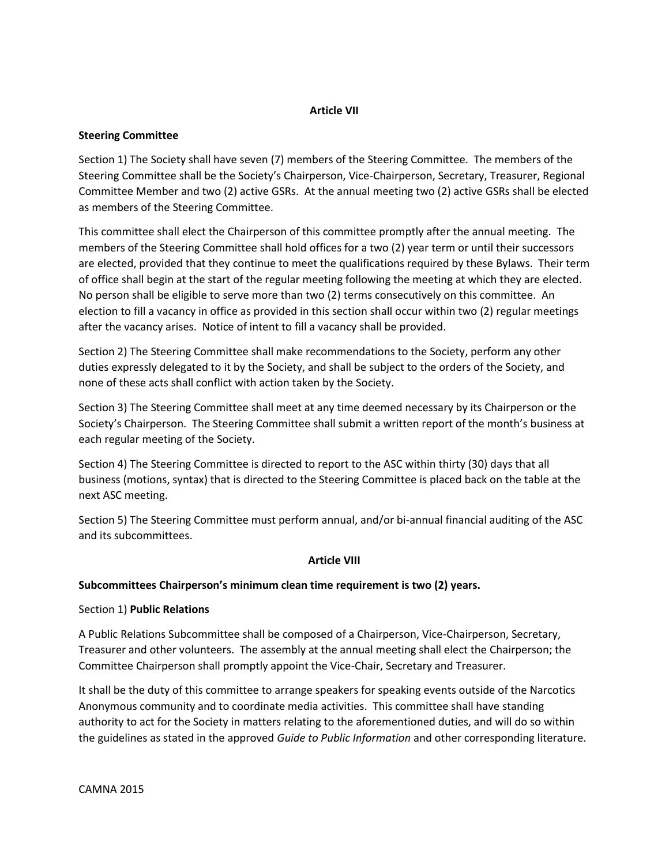# **Article VII**

# **Steering Committee**

Section 1) The Society shall have seven (7) members of the Steering Committee. The members of the Steering Committee shall be the Society's Chairperson, Vice-Chairperson, Secretary, Treasurer, Regional Committee Member and two (2) active GSRs. At the annual meeting two (2) active GSRs shall be elected as members of the Steering Committee.

This committee shall elect the Chairperson of this committee promptly after the annual meeting. The members of the Steering Committee shall hold offices for a two (2) year term or until their successors are elected, provided that they continue to meet the qualifications required by these Bylaws. Their term of office shall begin at the start of the regular meeting following the meeting at which they are elected. No person shall be eligible to serve more than two (2) terms consecutively on this committee. An election to fill a vacancy in office as provided in this section shall occur within two (2) regular meetings after the vacancy arises. Notice of intent to fill a vacancy shall be provided.

Section 2) The Steering Committee shall make recommendations to the Society, perform any other duties expressly delegated to it by the Society, and shall be subject to the orders of the Society, and none of these acts shall conflict with action taken by the Society.

Section 3) The Steering Committee shall meet at any time deemed necessary by its Chairperson or the Society's Chairperson. The Steering Committee shall submit a written report of the month's business at each regular meeting of the Society.

Section 4) The Steering Committee is directed to report to the ASC within thirty (30) days that all business (motions, syntax) that is directed to the Steering Committee is placed back on the table at the next ASC meeting.

Section 5) The Steering Committee must perform annual, and/or bi-annual financial auditing of the ASC and its subcommittees.

# **Article VIII**

# **Subcommittees Chairperson's minimum clean time requirement is two (2) years.**

# Section 1) **Public Relations**

A Public Relations Subcommittee shall be composed of a Chairperson, Vice-Chairperson, Secretary, Treasurer and other volunteers. The assembly at the annual meeting shall elect the Chairperson; the Committee Chairperson shall promptly appoint the Vice-Chair, Secretary and Treasurer.

It shall be the duty of this committee to arrange speakers for speaking events outside of the Narcotics Anonymous community and to coordinate media activities. This committee shall have standing authority to act for the Society in matters relating to the aforementioned duties, and will do so within the guidelines as stated in the approved *Guide to Public Information* and other corresponding literature.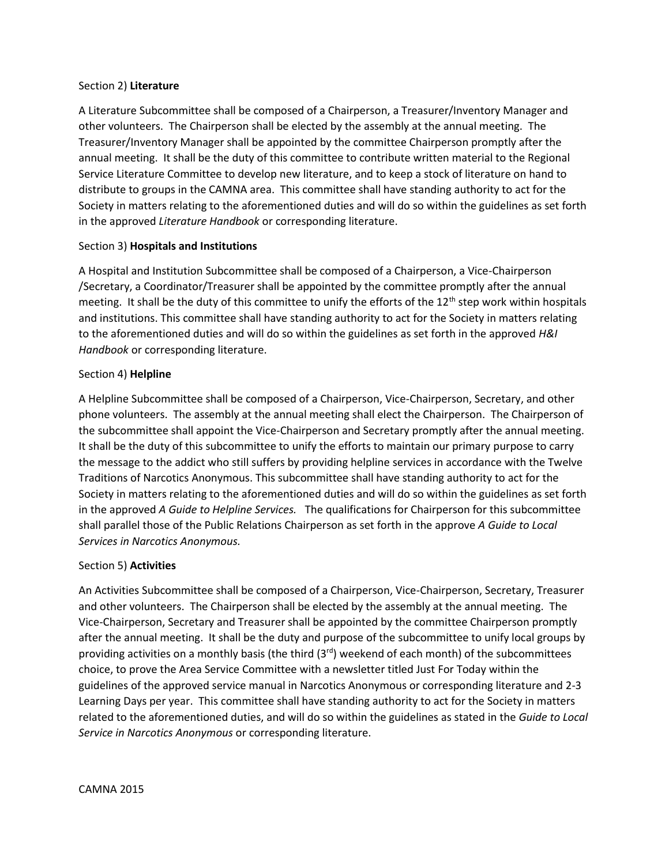#### Section 2) **Literature**

A Literature Subcommittee shall be composed of a Chairperson, a Treasurer/Inventory Manager and other volunteers. The Chairperson shall be elected by the assembly at the annual meeting. The Treasurer/Inventory Manager shall be appointed by the committee Chairperson promptly after the annual meeting. It shall be the duty of this committee to contribute written material to the Regional Service Literature Committee to develop new literature, and to keep a stock of literature on hand to distribute to groups in the CAMNA area. This committee shall have standing authority to act for the Society in matters relating to the aforementioned duties and will do so within the guidelines as set forth in the approved *Literature Handbook* or corresponding literature.

# Section 3) **Hospitals and Institutions**

A Hospital and Institution Subcommittee shall be composed of a Chairperson, a Vice-Chairperson /Secretary, a Coordinator/Treasurer shall be appointed by the committee promptly after the annual meeting. It shall be the duty of this committee to unify the efforts of the  $12<sup>th</sup>$  step work within hospitals and institutions. This committee shall have standing authority to act for the Society in matters relating to the aforementioned duties and will do so within the guidelines as set forth in the approved *H&I Handbook* or corresponding literature.

# Section 4) **Helpline**

A Helpline Subcommittee shall be composed of a Chairperson, Vice-Chairperson, Secretary, and other phone volunteers. The assembly at the annual meeting shall elect the Chairperson. The Chairperson of the subcommittee shall appoint the Vice-Chairperson and Secretary promptly after the annual meeting. It shall be the duty of this subcommittee to unify the efforts to maintain our primary purpose to carry the message to the addict who still suffers by providing helpline services in accordance with the Twelve Traditions of Narcotics Anonymous. This subcommittee shall have standing authority to act for the Society in matters relating to the aforementioned duties and will do so within the guidelines as set forth in the approved *A Guide to Helpline Services.* The qualifications for Chairperson for this subcommittee shall parallel those of the Public Relations Chairperson as set forth in the approve *A Guide to Local Services in Narcotics Anonymous.*

# Section 5) **Activities**

An Activities Subcommittee shall be composed of a Chairperson, Vice-Chairperson, Secretary, Treasurer and other volunteers. The Chairperson shall be elected by the assembly at the annual meeting. The Vice-Chairperson, Secretary and Treasurer shall be appointed by the committee Chairperson promptly after the annual meeting. It shall be the duty and purpose of the subcommittee to unify local groups by providing activities on a monthly basis (the third (3<sup>rd</sup>) weekend of each month) of the subcommittees choice, to prove the Area Service Committee with a newsletter titled Just For Today within the guidelines of the approved service manual in Narcotics Anonymous or corresponding literature and 2-3 Learning Days per year. This committee shall have standing authority to act for the Society in matters related to the aforementioned duties, and will do so within the guidelines as stated in the *Guide to Local Service in Narcotics Anonymous* or corresponding literature.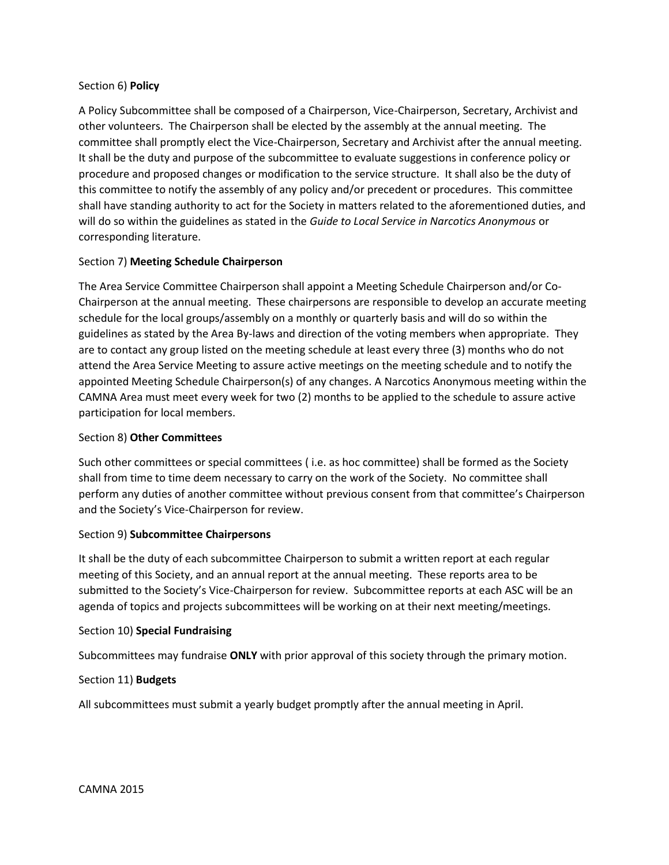# Section 6) **Policy**

A Policy Subcommittee shall be composed of a Chairperson, Vice-Chairperson, Secretary, Archivist and other volunteers. The Chairperson shall be elected by the assembly at the annual meeting. The committee shall promptly elect the Vice-Chairperson, Secretary and Archivist after the annual meeting. It shall be the duty and purpose of the subcommittee to evaluate suggestions in conference policy or procedure and proposed changes or modification to the service structure. It shall also be the duty of this committee to notify the assembly of any policy and/or precedent or procedures. This committee shall have standing authority to act for the Society in matters related to the aforementioned duties, and will do so within the guidelines as stated in the *Guide to Local Service in Narcotics Anonymous* or corresponding literature.

# Section 7) **Meeting Schedule Chairperson**

The Area Service Committee Chairperson shall appoint a Meeting Schedule Chairperson and/or Co-Chairperson at the annual meeting. These chairpersons are responsible to develop an accurate meeting schedule for the local groups/assembly on a monthly or quarterly basis and will do so within the guidelines as stated by the Area By-laws and direction of the voting members when appropriate. They are to contact any group listed on the meeting schedule at least every three (3) months who do not attend the Area Service Meeting to assure active meetings on the meeting schedule and to notify the appointed Meeting Schedule Chairperson(s) of any changes. A Narcotics Anonymous meeting within the CAMNA Area must meet every week for two (2) months to be applied to the schedule to assure active participation for local members.

# Section 8) **Other Committees**

Such other committees or special committees ( i.e. as hoc committee) shall be formed as the Society shall from time to time deem necessary to carry on the work of the Society. No committee shall perform any duties of another committee without previous consent from that committee's Chairperson and the Society's Vice-Chairperson for review.

# Section 9) **Subcommittee Chairpersons**

It shall be the duty of each subcommittee Chairperson to submit a written report at each regular meeting of this Society, and an annual report at the annual meeting. These reports area to be submitted to the Society's Vice-Chairperson for review. Subcommittee reports at each ASC will be an agenda of topics and projects subcommittees will be working on at their next meeting/meetings.

# Section 10) **Special Fundraising**

Subcommittees may fundraise **ONLY** with prior approval of this society through the primary motion.

# Section 11) **Budgets**

All subcommittees must submit a yearly budget promptly after the annual meeting in April.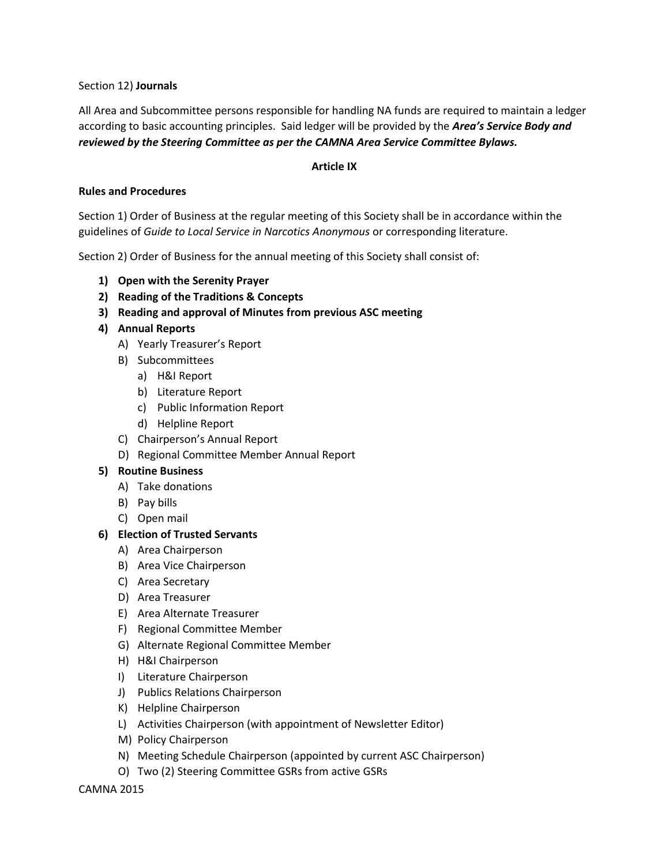Section 12) **Journals**

All Area and Subcommittee persons responsible for handling NA funds are required to maintain a ledger according to basic accounting principles. Said ledger will be provided by the *Area's Service Body and reviewed by the Steering Committee as per the CAMNA Area Service Committee Bylaws.*

## **Article IX**

# **Rules and Procedures**

Section 1) Order of Business at the regular meeting of this Society shall be in accordance within the guidelines of *Guide to Local Service in Narcotics Anonymous* or corresponding literature.

Section 2) Order of Business for the annual meeting of this Society shall consist of:

- **1) Open with the Serenity Prayer**
- **2) Reading of the Traditions & Concepts**
- **3) Reading and approval of Minutes from previous ASC meeting**
- **4) Annual Reports** 
	- A) Yearly Treasurer's Report
	- B) Subcommittees
		- a) H&I Report
		- b) Literature Report
		- c) Public Information Report
		- d) Helpline Report
	- C) Chairperson's Annual Report
	- D) Regional Committee Member Annual Report

# **5) Routine Business**

- A) Take donations
- B) Pay bills
- C) Open mail

# **6) Election of Trusted Servants**

- A) Area Chairperson
- B) Area Vice Chairperson
- C) Area Secretary
- D) Area Treasurer
- E) Area Alternate Treasurer
- F) Regional Committee Member
- G) Alternate Regional Committee Member
- H) H&I Chairperson
- I) Literature Chairperson
- J) Publics Relations Chairperson
- K) Helpline Chairperson
- L) Activities Chairperson (with appointment of Newsletter Editor)
- M) Policy Chairperson
- N) Meeting Schedule Chairperson (appointed by current ASC Chairperson)
- O) Two (2) Steering Committee GSRs from active GSRs